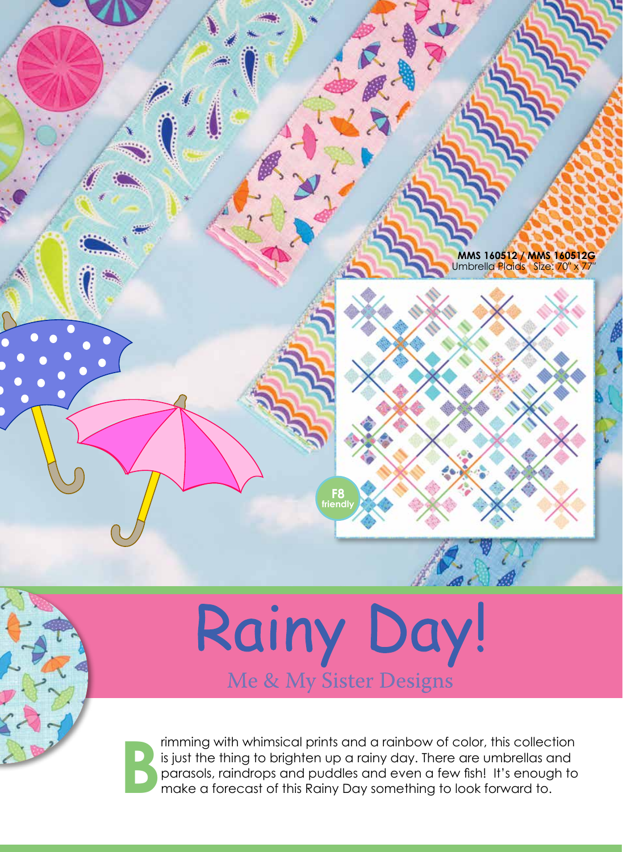

## Rainy Day!

**B** rimming with whimsical prints and a rainbow of color, this collection is just the thing to brighten up a rainy day. There are umbrellas and parasols, raindrops and puddles and even a few fish! It's enough to make a forecast of this Rainy Day something to look forward to.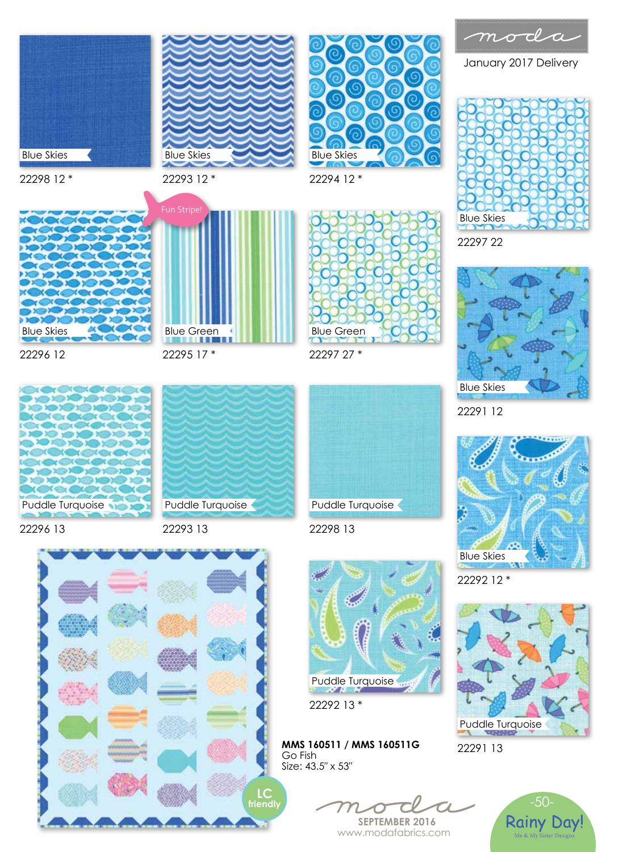

January 2017 Delivery











22292 12 \*



22291 13





22296 12



Puddle Turquoise

22295 17 \*

22296 13



22297 27 \*

Blue Green

22294 12 \*

Blue Skies

22298 13



**MMS 160511 / MMS 160511G** 

**SEPTEMBER 2016** www.modafabrics.com



**LC framed** 

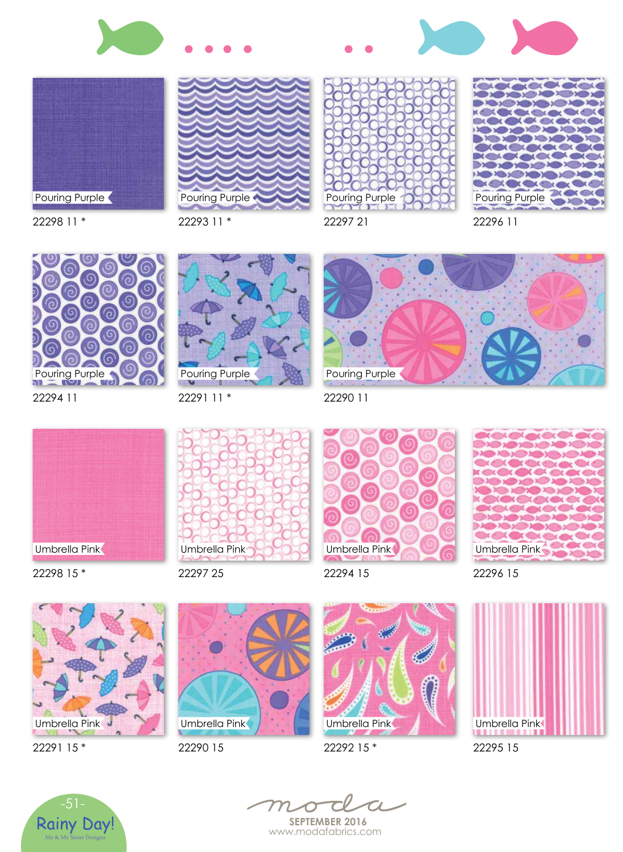









22298 11 \*

22293 11 \*

Pouring Purple



22294 11



22291 11 \*



22290 11



22298 15 \*



22297 25



22294 15



22296 15



22291 15 \*



22290 15



22292 15 \*



22295 15





**SEPTEMBER 2016** www.modafabrics.com